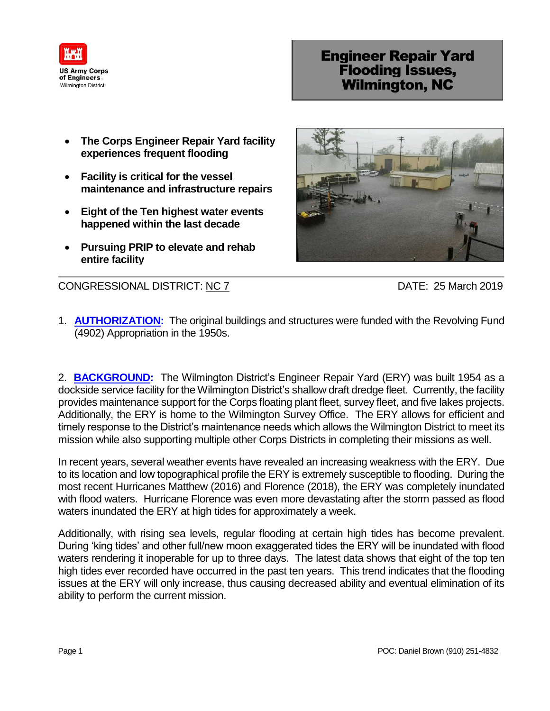

## Engineer Repair Yard Flooding Issues, Wilmington, NC

- **The Corps Engineer Repair Yard facility experiences frequent flooding**
- **Facility is critical for the vessel maintenance and infrastructure repairs**
- **Eight of the Ten highest water events happened within the last decade**
- **Pursuing PRIP to elevate and rehab entire facility**



CONGRESSIONAL DISTRICT: NC 7 DATE: 25 March 2019

1. **AUTHORIZATION:** The original buildings and structures were funded with the Revolving Fund (4902) Appropriation in the 1950s.

2. **BACKGROUND:** The Wilmington District's Engineer Repair Yard (ERY) was built 1954 as a dockside service facility for the Wilmington District's shallow draft dredge fleet. Currently, the facility provides maintenance support for the Corps floating plant fleet, survey fleet, and five lakes projects. Additionally, the ERY is home to the Wilmington Survey Office. The ERY allows for efficient and timely response to the District's maintenance needs which allows the Wilmington District to meet its mission while also supporting multiple other Corps Districts in completing their missions as well.

In recent years, several weather events have revealed an increasing weakness with the ERY. Due to its location and low topographical profile the ERY is extremely susceptible to flooding. During the most recent Hurricanes Matthew (2016) and Florence (2018), the ERY was completely inundated with flood waters. Hurricane Florence was even more devastating after the storm passed as flood waters inundated the ERY at high tides for approximately a week.

Additionally, with rising sea levels, regular flooding at certain high tides has become prevalent. During 'king tides' and other full/new moon exaggerated tides the ERY will be inundated with flood waters rendering it inoperable for up to three days. The latest data shows that eight of the top ten high tides ever recorded have occurred in the past ten years. This trend indicates that the flooding issues at the ERY will only increase, thus causing decreased ability and eventual elimination of its ability to perform the current mission.